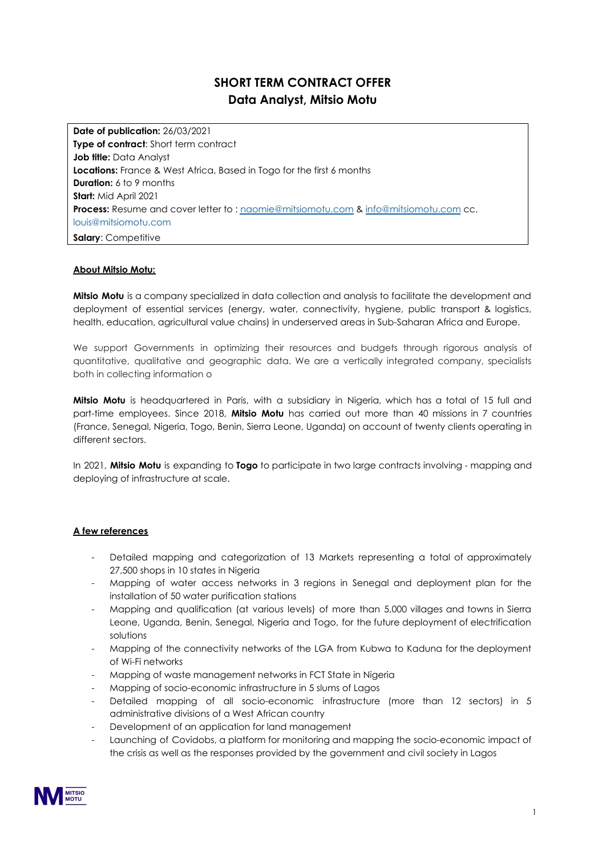# **SHORT TERM CONTRACT OFFER Data Analyst, Mitsio Motu**

**Date of publication:** 26/03/2021 **Type of contract**: Short term contract **Job title:** Data Analyst **Locations:** France & West Africa, Based in Togo for the first 6 months **Duration:** 6 to 9 months **Start:** Mid April 2021 **Process:** Resume and cover letter to : [naomie@mitsiomotu.com](mailto:naomie@mitsiomotu.com) & [info@mitsiomotu.com](mailto:info@mitsiomotu.com) cc. louis@mitsiomotu.com **Salary**: Competitive

#### **About Mitsio Motu:**

**Mitsio Motu** is a company specialized in data collection and analysis to facilitate the development and deployment of essential services (energy, water, connectivity, hygiene, public transport & logistics, health, education, agricultural value chains) in underserved areas in Sub-Saharan Africa and Europe.

We support Governments in optimizing their resources and budgets through rigorous analysis of quantitative, qualitative and geographic data. We are a vertically integrated company, specialists both in collecting information o

**Mitsio Motu** is headquartered in Paris, with a subsidiary in Nigeria, which has a total of 15 full and part-time employees. Since 2018, **Mitsio Motu** has carried out more than 40 missions in 7 countries (France, Senegal, Nigeria, Togo, Benin, Sierra Leone, Uganda) on account of twenty clients operating in different sectors.

In 2021, **Mitsio Motu** is expanding to **Togo** to participate in two large contracts involving - mapping and deploying of infrastructure at scale.

### **A few references**

- Detailed mapping and categorization of 13 Markets representing a total of approximately 27,500 shops in 10 states in Nigeria
- Mapping of water access networks in 3 regions in Senegal and deployment plan for the installation of 50 water purification stations
- Mapping and qualification (at various levels) of more than 5,000 villages and towns in Sierra Leone, Uganda, Benin, Senegal, Nigeria and Togo, for the future deployment of electrification solutions
- Mapping of the connectivity networks of the LGA from Kubwa to Kaduna for the deployment of Wi-Fi networks
- Mapping of waste management networks in FCT State in Nigeria
- Mapping of socio-economic infrastructure in 5 slums of Lagos
- Detailed mapping of all socio-economic infrastructure (more than 12 sectors) in 5 administrative divisions of a West African country
- Development of an application for land management
- Launching of Covidobs, a platform for monitoring and mapping the socio-economic impact of the crisis as well as the responses provided by the government and civil society in Lagos

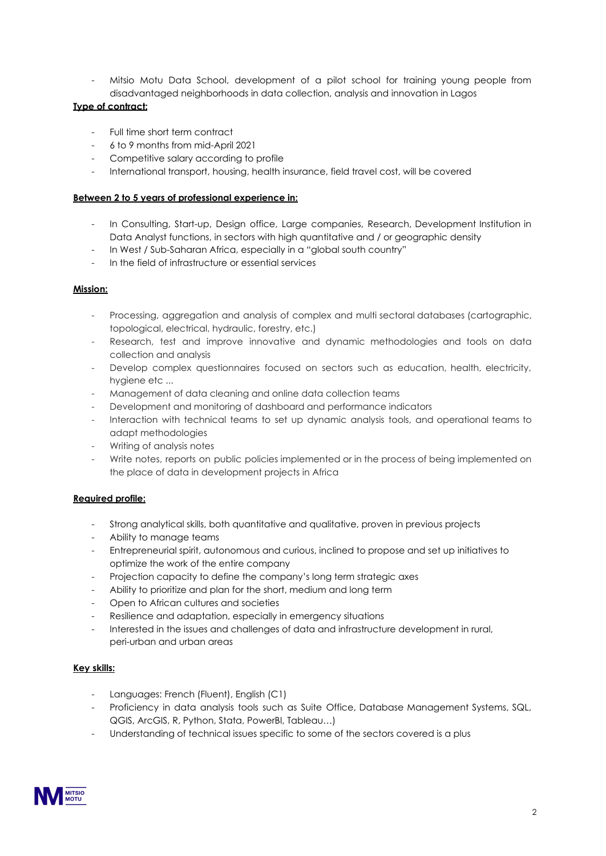Mitsio Motu Data School, development of a pilot school for training young people from disadvantaged neighborhoods in data collection, analysis and innovation in Lagos

# **Type of contract:**

- Full time short term contract
- 6 to 9 months from mid-April 2021
- Competitive salary according to profile
- International transport, housing, health insurance, field travel cost, will be covered

#### **Between 2 to 5 years of professional experience in:**

- In Consulting, Start-up, Design office, Large companies, Research, Development Institution in Data Analyst functions, in sectors with high quantitative and / or geographic density
- In West / Sub-Saharan Africa, especially in a "global south country"
- In the field of infrastructure or essential services

## **Mission:**

- Processing, aggregation and analysis of complex and multi sectoral databases (cartographic, topological, electrical, hydraulic, forestry, etc.)
- Research, test and improve innovative and dynamic methodologies and tools on data collection and analysis
- Develop complex questionnaires focused on sectors such as education, health, electricity, hygiene etc ...
- Management of data cleaning and online data collection teams
- Development and monitoring of dashboard and performance indicators
- Interaction with technical teams to set up dynamic analysis tools, and operational teams to adapt methodologies
- Writing of analysis notes
- Write notes, reports on public policies implemented or in the process of being implemented on the place of data in development projects in Africa

# **Required profile:**

- Strong analytical skills, both quantitative and qualitative, proven in previous projects
- Ability to manage teams
- Entrepreneurial spirit, autonomous and curious, inclined to propose and set up initiatives to optimize the work of the entire company
- Projection capacity to define the company's long term strategic axes
- Ability to prioritize and plan for the short, medium and long term
- Open to African cultures and societies
- Resilience and adaptation, especially in emergency situations
- Interested in the issues and challenges of data and infrastructure development in rural, peri-urban and urban areas

### **Key skills:**

- Languages: French (Fluent), English (C1)
- Proficiency in data analysis tools such as Suite Office, Database Management Systems, SQL, QGIS, ArcGIS, R, Python, Stata, PowerBI, Tableau…)
- Understanding of technical issues specific to some of the sectors covered is a plus